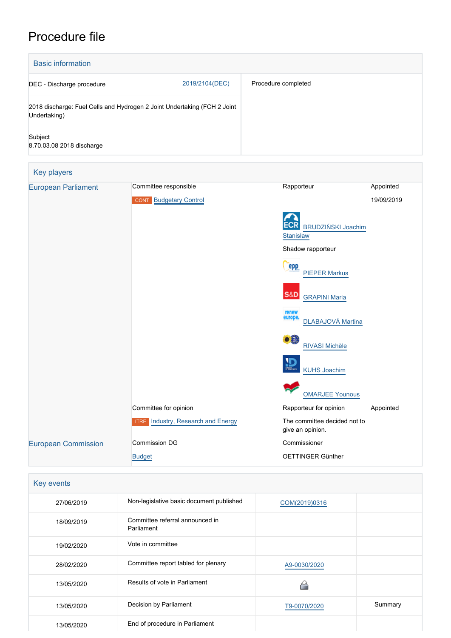# Procedure file

| <b>Basic information</b>             |                                                                          |                                                  |            |
|--------------------------------------|--------------------------------------------------------------------------|--------------------------------------------------|------------|
| DEC - Discharge procedure            | 2019/2104(DEC)                                                           | Procedure completed                              |            |
| Undertaking)                         | 2018 discharge: Fuel Cells and Hydrogen 2 Joint Undertaking (FCH 2 Joint |                                                  |            |
| Subject<br>8.70.03.08 2018 discharge |                                                                          |                                                  |            |
| Key players                          |                                                                          |                                                  |            |
| <b>European Parliament</b>           | Committee responsible                                                    | Rapporteur                                       | Appointed  |
|                                      | <b>CONT</b> Budgetary Control                                            |                                                  | 19/09/2019 |
|                                      |                                                                          | <b>BRUDZIŃSKI Joachim</b><br><b>Stanisław</b>    |            |
|                                      |                                                                          | Shadow rapporteur                                |            |
|                                      |                                                                          | epp<br><b>PIEPER Markus</b>                      |            |
|                                      |                                                                          | S&D<br><b>GRAPINI Maria</b>                      |            |
|                                      |                                                                          | renew<br>europe.<br>DLABAJOVÁ Martina            |            |
|                                      |                                                                          | æ.<br>RIVASI Michèle                             |            |
|                                      |                                                                          | <b>KUHS Joachim</b>                              |            |
|                                      |                                                                          | <b>OMARJEE Younous</b>                           |            |
|                                      | Committee for opinion                                                    | Rapporteur for opinion                           | Appointed  |
|                                      | <b>ITRE</b> Industry, Research and Energy                                | The committee decided not to<br>give an opinion. |            |
| <b>European Commission</b>           | Commission DG                                                            | Commissioner                                     |            |
|                                      | <b>Budget</b>                                                            | OETTINGER Günther                                |            |

| Key events |                                               |               |         |  |  |
|------------|-----------------------------------------------|---------------|---------|--|--|
| 27/06/2019 | Non-legislative basic document published      | COM(2019)0316 |         |  |  |
| 18/09/2019 | Committee referral announced in<br>Parliament |               |         |  |  |
| 19/02/2020 | Vote in committee                             |               |         |  |  |
| 28/02/2020 | Committee report tabled for plenary           | A9-0030/2020  |         |  |  |
| 13/05/2020 | Results of vote in Parliament                 |               |         |  |  |
| 13/05/2020 | Decision by Parliament                        | T9-0070/2020  | Summary |  |  |
| 13/05/2020 | End of procedure in Parliament                |               |         |  |  |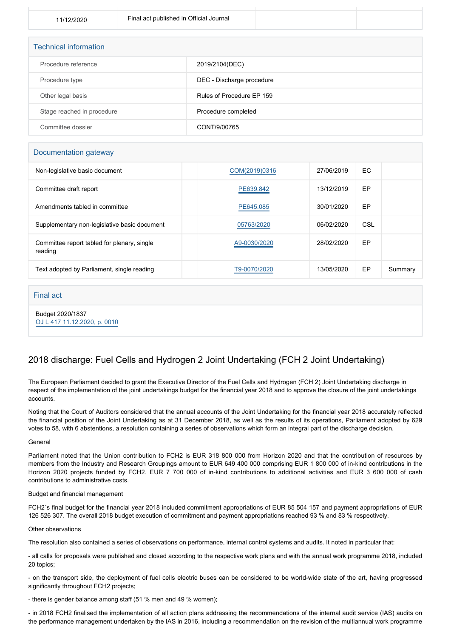| <b>Technical information</b> |                           |
|------------------------------|---------------------------|
| Procedure reference          | 2019/2104(DEC)            |
| Procedure type               | DEC - Discharge procedure |
| Other legal basis            | Rules of Procedure EP 159 |
| Stage reached in procedure   | Procedure completed       |
| Committee dossier            | CONT/9/00765              |

## Documentation gateway

| Non-legislative basic document                         | COM(2019)0316 | 27/06/2019 | EC. |         |
|--------------------------------------------------------|---------------|------------|-----|---------|
| Committee draft report                                 | PE639.842     | 13/12/2019 | EP  |         |
| Amendments tabled in committee                         | PE645.085     | 30/01/2020 | EP  |         |
| Supplementary non-legislative basic document           | 05763/2020    | 06/02/2020 | CSL |         |
| Committee report tabled for plenary, single<br>reading | A9-0030/2020  | 28/02/2020 | EP  |         |
| Text adopted by Parliament, single reading             | T9-0070/2020  | 13/05/2020 | EP  | Summary |

## Final act

Budget 2020/1837 [OJ L 417 11.12.2020, p. 0010](https://eur-lex.europa.eu/legal-content/EN/TXT/?uri=OJ:L:2020:417:TOC)

# 2018 discharge: Fuel Cells and Hydrogen 2 Joint Undertaking (FCH 2 Joint Undertaking)

The European Parliament decided to grant the Executive Director of the Fuel Cells and Hydrogen (FCH 2) Joint Undertaking discharge in respect of the implementation of the joint undertakings budget for the financial year 2018 and to approve the closure of the joint undertakings accounts.

Noting that the Court of Auditors considered that the annual accounts of the Joint Undertaking for the financial year 2018 accurately reflected the financial position of the Joint Undertaking as at 31 December 2018, as well as the results of its operations, Parliament adopted by 629 votes to 58, with 6 abstentions, a resolution containing a series of observations which form an integral part of the discharge decision.

### General

Parliament noted that the Union contribution to FCH2 is EUR 318 800 000 from Horizon 2020 and that the contribution of resources by members from the Industry and Research Groupings amount to EUR 649 400 000 comprising EUR 1 800 000 of in-kind contributions in the Horizon 2020 projects funded by FCH2, EUR 7 700 000 of in-kind contributions to additional activities and EUR 3 600 000 of cash contributions to administrative costs.

### Budget and financial management

FCH2´s final budget for the financial year 2018 included commitment appropriations of EUR 85 504 157 and payment appropriations of EUR 126 526 307. The overall 2018 budget execution of commitment and payment appropriations reached 93 % and 83 % respectively.

### Other observations

The resolution also contained a series of observations on performance, internal control systems and audits. It noted in particular that:

- all calls for proposals were published and closed according to the respective work plans and with the annual work programme 2018, included 20 topics;

- on the transport side, the deployment of fuel cells electric buses can be considered to be world-wide state of the art, having progressed significantly throughout FCH2 projects;

- there is gender balance among staff (51 % men and 49 % women);

- in 2018 FCH2 finalised the implementation of all action plans addressing the recommendations of the internal audit service (IAS) audits on the performance management undertaken by the IAS in 2016, including a recommendation on the revision of the multiannual work programme